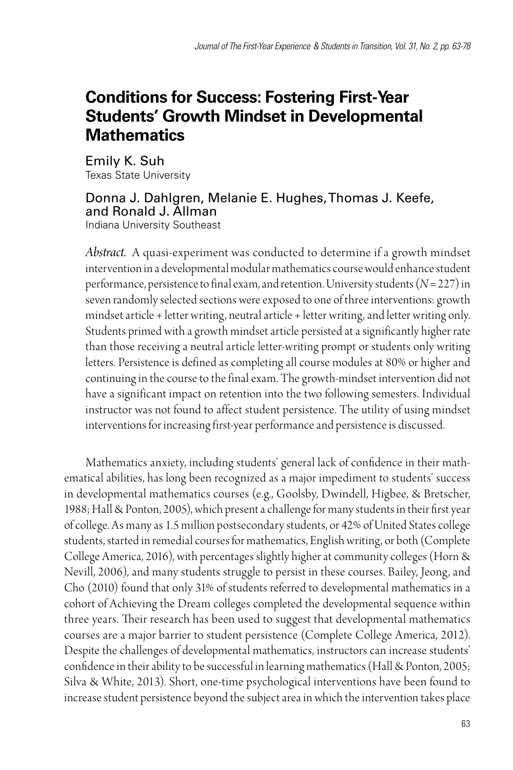# **Conditions for Success: Fostering First-Year Students' Growth Mindset in Developmental Mathematics**

Emily K. Suh Texas State University

## Donna J. Dahlgren, Melanie E. Hughes, Thomas J. Keefe, and Ronald J. Allman

Indiana University Southeast

*Abstract.* A quasi-experiment was conducted to determine if a growth mindset intervention in a developmental modular mathematics course would enhance student performance, persistence to final exam, and retention. University students (*N* = 227) in seven randomly selected sections were exposed to one of three interventions: growth mindset article + letter writing, neutral article + letter writing, and letter writing only. Students primed with a growth mindset article persisted at a significantly higher rate than those receiving a neutral article letter-writing prompt or students only writing letters. Persistence is defined as completing all course modules at 80% or higher and continuing in the course to the final exam. The growth-mindset intervention did not have a significant impact on retention into the two following semesters. Individual instructor was not found to affect student persistence. The utility of using mindset interventions for increasing first-year performance and persistence is discussed.

Mathematics anxiety, including students' general lack of confidence in their mathematical abilities, has long been recognized as a major impediment to students' success in developmental mathematics courses (e.g., Goolsby, Dwindell, Higbee, & Bretscher, 1988; Hall & Ponton, 2005), which present a challenge for many students in their first year of college. As many as 1.5 million postsecondary students, or 42% of United States college students, started in remedial courses for mathematics, English writing, or both (Complete College America, 2016), with percentages slightly higher at community colleges (Horn & Nevill, 2006), and many students struggle to persist in these courses. Bailey, Jeong, and Cho (2010) found that only 31% of students referred to developmental mathematics in a cohort of Achieving the Dream colleges completed the developmental sequence within three years. Their research has been used to suggest that developmental mathematics courses are a major barrier to student persistence (Complete College America, 2012). Despite the challenges of developmental mathematics, instructors can increase students' confidence in their ability to be successful in learning mathematics (Hall & Ponton, 2005; Silva & White, 2013). Short, one-time psychological interventions have been found to increase student persistence beyond the subject area in which the intervention takes place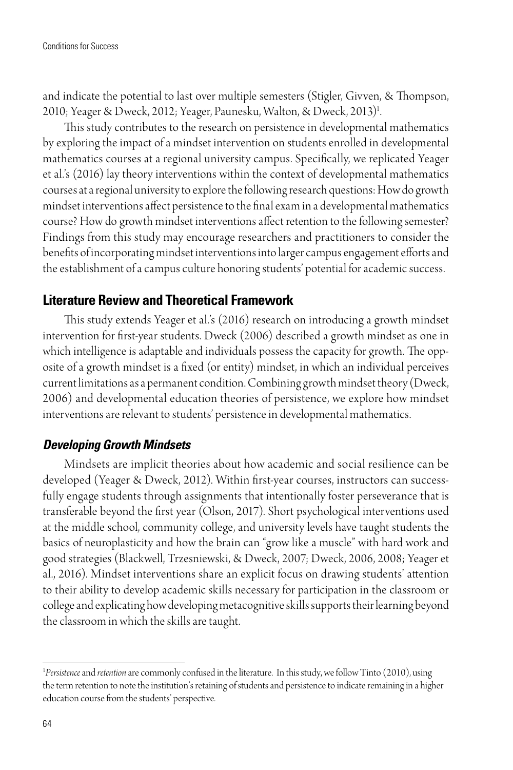and indicate the potential to last over multiple semesters (Stigler, Givven, & Thompson, 2010; Yeager & Dweck, 2012; Yeager, Paunesku, Walton, & Dweck, 2013)<sup>1</sup>.

This study contributes to the research on persistence in developmental mathematics by exploring the impact of a mindset intervention on students enrolled in developmental mathematics courses at a regional university campus. Specifically, we replicated Yeager et al.'s (2016) lay theory interventions within the context of developmental mathematics courses at a regional university to explore the following research questions: How do growth mindset interventions affect persistence to the final exam in a developmental mathematics course? How do growth mindset interventions affect retention to the following semester? Findings from this study may encourage researchers and practitioners to consider the benefits of incorporating mindset interventions into larger campus engagement efforts and the establishment of a campus culture honoring students' potential for academic success.

### **Literature Review and Theoretical Framework**

This study extends Yeager et al.'s (2016) research on introducing a growth mindset intervention for first-year students. Dweck (2006) described a growth mindset as one in which intelligence is adaptable and individuals possess the capacity for growth. The opposite of a growth mindset is a fixed (or entity) mindset, in which an individual perceives current limitations as a permanent condition. Combining growth mindset theory (Dweck, 2006) and developmental education theories of persistence, we explore how mindset interventions are relevant to students' persistence in developmental mathematics.

#### *Developing Growth Mindsets*

Mindsets are implicit theories about how academic and social resilience can be developed (Yeager & Dweck, 2012). Within first-year courses, instructors can successfully engage students through assignments that intentionally foster perseverance that is transferable beyond the first year (Olson, 2017). Short psychological interventions used at the middle school, community college, and university levels have taught students the basics of neuroplasticity and how the brain can "grow like a muscle" with hard work and good strategies (Blackwell, Trzesniewski, & Dweck, 2007; Dweck, 2006, 2008; Yeager et al., 2016). Mindset interventions share an explicit focus on drawing students' attention to their ability to develop academic skills necessary for participation in the classroom or college and explicating how developing metacognitive skills supports their learning beyond the classroom in which the skills are taught.

<sup>1</sup> *Persistence* and *retention* are commonly confused in the literature. In this study, we follow Tinto (2010), using the term retention to note the institution's retaining of students and persistence to indicate remaining in a higher education course from the students' perspective.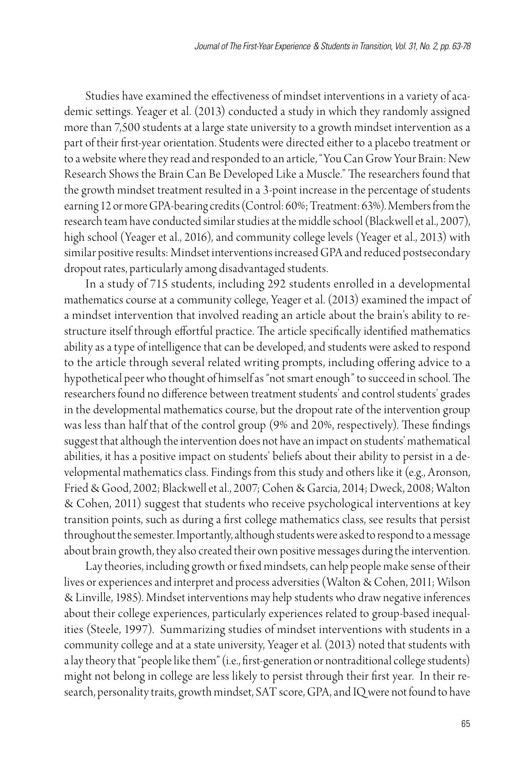Studies have examined the effectiveness of mindset interventions in a variety of academic settings. Yeager et al. (2013) conducted a study in which they randomly assigned more than 7,500 students at a large state university to a growth mindset intervention as a part of their first-year orientation. Students were directed either to a placebo treatment or to a website where they read and responded to an article, "You Can Grow Your Brain: New Research Shows the Brain Can Be Developed Like a Muscle." The researchers found that the growth mindset treatment resulted in a 3-point increase in the percentage of students earning 12 or more GPA-bearing credits (Control: 60%; Treatment: 63%). Members from the research team have conducted similar studies at the middle school (Blackwell et al., 2007), high school (Yeager et al., 2016), and community college levels (Yeager et al., 2013) with similar positive results: Mindset interventions increased GPA and reduced postsecondary dropout rates, particularly among disadvantaged students.

In a study of 715 students, including 292 students enrolled in a developmental mathematics course at a community college, Yeager et al. (2013) examined the impact of a mindset intervention that involved reading an article about the brain's ability to restructure itself through effortful practice. The article specifically identified mathematics ability as a type of intelligence that can be developed, and students were asked to respond to the article through several related writing prompts, including offering advice to a hypothetical peer who thought of himself as "not smart enough" to succeed in school. The researchers found no difference between treatment students' and control students' grades in the developmental mathematics course, but the dropout rate of the intervention group was less than half that of the control group (9% and 20%, respectively). These findings suggest that although the intervention does not have an impact on students' mathematical abilities, it has a positive impact on students' beliefs about their ability to persist in a developmental mathematics class. Findings from this study and others like it (e.g., Aronson, Fried & Good, 2002; Blackwell et al., 2007; Cohen & Garcia, 2014; Dweck, 2008; Walton & Cohen, 2011) suggest that students who receive psychological interventions at key transition points, such as during a first college mathematics class, see results that persist throughout the semester. Importantly, although students were asked to respond to a message about brain growth, they also created their own positive messages during the intervention.

Lay theories, including growth or fixed mindsets, can help people make sense of their lives or experiences and interpret and process adversities (Walton & Cohen, 2011; Wilson & Linville, 1985). Mindset interventions may help students who draw negative inferences about their college experiences, particularly experiences related to group-based inequalities (Steele, 1997). Summarizing studies of mindset interventions with students in a community college and at a state university, Yeager et al. (2013) noted that students with a lay theory that "people like them" (i.e., first-generation or nontraditional college students) might not belong in college are less likely to persist through their first year. In their research, personality traits, growth mindset, SAT score, GPA, and IQ were not found to have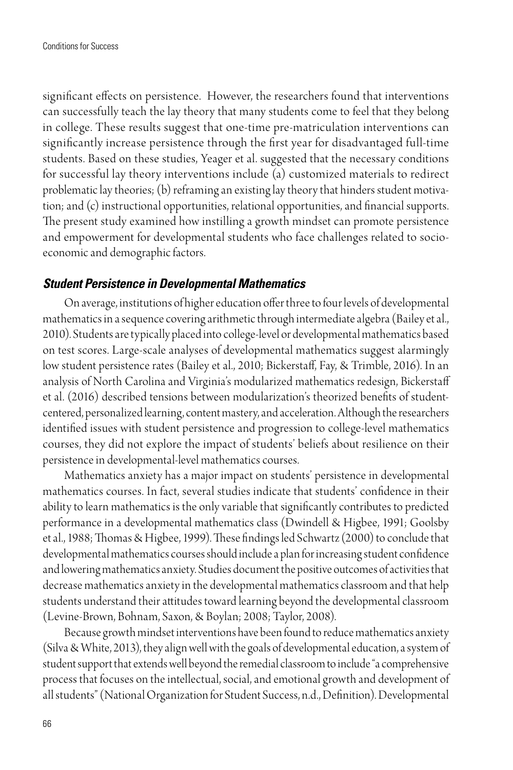significant effects on persistence. However, the researchers found that interventions can successfully teach the lay theory that many students come to feel that they belong in college. These results suggest that one-time pre-matriculation interventions can significantly increase persistence through the first year for disadvantaged full-time students. Based on these studies, Yeager et al. suggested that the necessary conditions for successful lay theory interventions include (a) customized materials to redirect problematic lay theories; (b) reframing an existing lay theory that hinders student motivation; and (c) instructional opportunities, relational opportunities, and financial supports. The present study examined how instilling a growth mindset can promote persistence and empowerment for developmental students who face challenges related to socioeconomic and demographic factors.

#### *Student Persistence in Developmental Mathematics*

On average, institutions of higher education offer three to four levels of developmental mathematics in a sequence covering arithmetic through intermediate algebra (Bailey et al., 2010). Students are typically placed into college-level or developmental mathematics based on test scores. Large-scale analyses of developmental mathematics suggest alarmingly low student persistence rates (Bailey et al., 2010; Bickerstaff, Fay, & Trimble, 2016). In an analysis of North Carolina and Virginia's modularized mathematics redesign, Bickerstaff et al. (2016) described tensions between modularization's theorized benefits of studentcentered, personalized learning, content mastery, and acceleration. Although the researchers identified issues with student persistence and progression to college-level mathematics courses, they did not explore the impact of students' beliefs about resilience on their persistence in developmental-level mathematics courses.

Mathematics anxiety has a major impact on students' persistence in developmental mathematics courses. In fact, several studies indicate that students' confidence in their ability to learn mathematics is the only variable that significantly contributes to predicted performance in a developmental mathematics class (Dwindell & Higbee, 1991; Goolsby et al., 1988; Thomas & Higbee, 1999). These findings led Schwartz (2000) to conclude that developmental mathematics courses should include a plan for increasing student confidence and lowering mathematics anxiety. Studies document the positive outcomes of activities that decrease mathematics anxiety in the developmental mathematics classroom and that help students understand their attitudes toward learning beyond the developmental classroom (Levine-Brown, Bohnam, Saxon, & Boylan; 2008; Taylor, 2008).

Because growth mindset interventions have been found to reduce mathematics anxiety (Silva & White, 2013), they align well with the goals of developmental education, a system of student support that extends well beyond the remedial classroom to include "a comprehensive process that focuses on the intellectual, social, and emotional growth and development of all students" (National Organization for Student Success, n.d., Definition). Developmental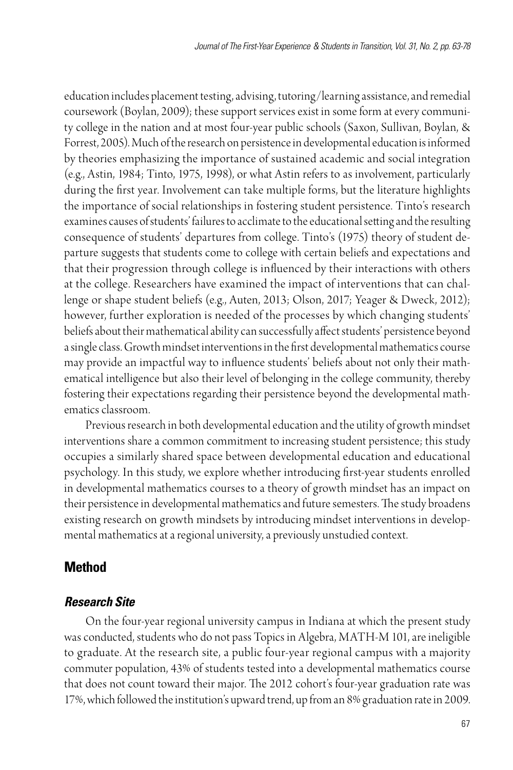education includes placement testing, advising, tutoring/learning assistance, and remedial coursework (Boylan, 2009); these support services exist in some form at every community college in the nation and at most four-year public schools (Saxon, Sullivan, Boylan, & Forrest, 2005). Much of the research on persistence in developmental education is informed by theories emphasizing the importance of sustained academic and social integration (e.g., Astin, 1984; Tinto, 1975, 1998), or what Astin refers to as involvement, particularly during the first year. Involvement can take multiple forms, but the literature highlights the importance of social relationships in fostering student persistence. Tinto's research examines causes of students' failures to acclimate to the educational setting and the resulting consequence of students' departures from college. Tinto's (1975) theory of student departure suggests that students come to college with certain beliefs and expectations and that their progression through college is influenced by their interactions with others at the college. Researchers have examined the impact of interventions that can challenge or shape student beliefs (e.g., Auten, 2013; Olson, 2017; Yeager & Dweck, 2012); however, further exploration is needed of the processes by which changing students' beliefs about their mathematical ability can successfully affect students' persistence beyond a single class. Growth mindset interventions in the first developmental mathematics course may provide an impactful way to influence students' beliefs about not only their mathematical intelligence but also their level of belonging in the college community, thereby fostering their expectations regarding their persistence beyond the developmental mathematics classroom.

Previous research in both developmental education and the utility of growth mindset interventions share a common commitment to increasing student persistence; this study occupies a similarly shared space between developmental education and educational psychology. In this study, we explore whether introducing first-year students enrolled in developmental mathematics courses to a theory of growth mindset has an impact on their persistence in developmental mathematics and future semesters. The study broadens existing research on growth mindsets by introducing mindset interventions in developmental mathematics at a regional university, a previously unstudied context.

## **Method**

#### *Research Site*

On the four-year regional university campus in Indiana at which the present study was conducted, students who do not pass Topics in Algebra, MATH-M 101, are ineligible to graduate. At the research site, a public four-year regional campus with a majority commuter population, 43% of students tested into a developmental mathematics course that does not count toward their major. The 2012 cohort's four-year graduation rate was 17%, which followed the institution's upward trend, up from an 8% graduation rate in 2009.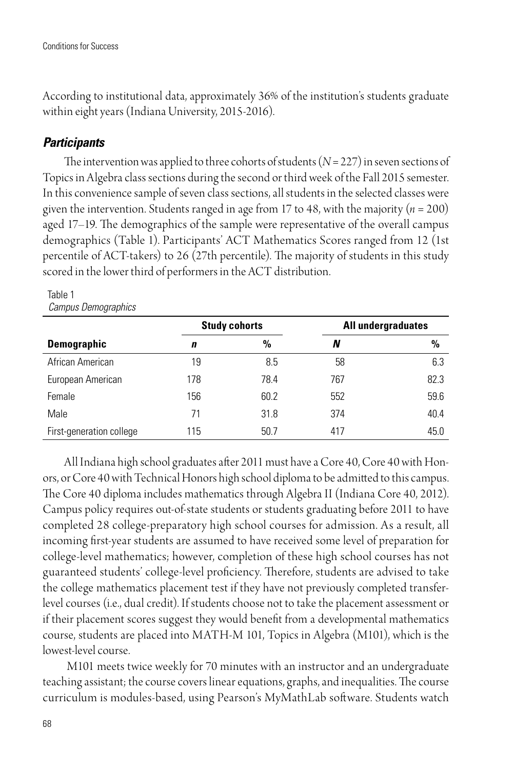According to institutional data, approximately 36% of the institution's students graduate within eight years (Indiana University, 2015-2016).

#### *Participants*

The intervention was applied to three cohorts of students (*N* = 227) in seven sections of Topics in Algebra class sections during the second or third week of the Fall 2015 semester. In this convenience sample of seven class sections, all students in the selected classes were given the intervention. Students ranged in age from 17 to 48, with the majority (*n* = 200) aged 17–19. The demographics of the sample were representative of the overall campus demographics (Table 1). Participants' ACT Mathematics Scores ranged from 12 (1st percentile of ACT-takers) to 26 (27th percentile). The majority of students in this study scored in the lower third of performers in the ACT distribution.

| Gampus Demographics      |     |                      |     |                    |  |
|--------------------------|-----|----------------------|-----|--------------------|--|
|                          |     | <b>Study cohorts</b> |     | All undergraduates |  |
| Demographic              | n   | $\frac{0}{0}$        | N   | $\frac{0}{0}$      |  |
| African American         | 19  | 8.5                  | 58  | 6.3                |  |
| European American        | 178 | 78.4                 | 767 | 82.3               |  |
| Female                   | 156 | 60.2                 | 552 | 59.6               |  |
| Male                     | 71  | 31.8                 | 374 | 40.4               |  |
| First-generation college | 115 | 50.7                 | 417 | 45.0               |  |

Table 1 *Campus Demographics*

All Indiana high school graduates after 2011 must have a Core 40, Core 40 with Honors, or Core 40 with Technical Honors high school diploma to be admitted to this campus. The Core 40 diploma includes mathematics through Algebra II (Indiana Core 40, 2012). Campus policy requires out-of-state students or students graduating before 2011 to have completed 28 college-preparatory high school courses for admission. As a result, all incoming first-year students are assumed to have received some level of preparation for college-level mathematics; however, completion of these high school courses has not guaranteed students' college-level proficiency. Therefore, students are advised to take the college mathematics placement test if they have not previously completed transferlevel courses (i.e., dual credit). If students choose not to take the placement assessment or if their placement scores suggest they would benefit from a developmental mathematics course, students are placed into MATH-M 101, Topics in Algebra (M101), which is the lowest-level course.

 M101 meets twice weekly for 70 minutes with an instructor and an undergraduate teaching assistant; the course covers linear equations, graphs, and inequalities. The course curriculum is modules-based, using Pearson's MyMathLab software. Students watch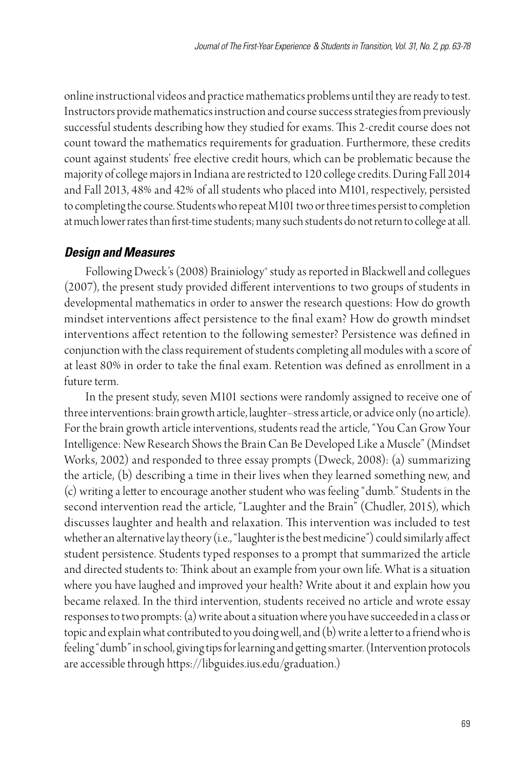online instructional videos and practice mathematics problems until they are ready to test. Instructors provide mathematics instruction and course success strategies from previously successful students describing how they studied for exams. This 2-credit course does not count toward the mathematics requirements for graduation. Furthermore, these credits count against students' free elective credit hours, which can be problematic because the majority of college majors in Indiana are restricted to 120 college credits. During Fall 2014 and Fall 2013, 48% and 42% of all students who placed into M101, respectively, persisted to completing the course. Students who repeat M101 two or three times persist to completion at much lower rates than first-time students; many such students do not return to college at all.

#### *Design and Measures*

Following Dweck's (2008) Brainiology® study as reported in Blackwell and collegues (2007), the present study provided different interventions to two groups of students in developmental mathematics in order to answer the research questions: How do growth mindset interventions affect persistence to the final exam? How do growth mindset interventions affect retention to the following semester? Persistence was defined in conjunction with the class requirement of students completing all modules with a score of at least 80% in order to take the final exam. Retention was defined as enrollment in a future term.

In the present study, seven M101 sections were randomly assigned to receive one of three interventions: brain growth article, laughter–stress article, or advice only (no article). For the brain growth article interventions, students read the article, "You Can Grow Your Intelligence: New Research Shows the Brain Can Be Developed Like a Muscle" (Mindset Works, 2002) and responded to three essay prompts (Dweck, 2008): (a) summarizing the article, (b) describing a time in their lives when they learned something new, and (c) writing a letter to encourage another student who was feeling "dumb." Students in the second intervention read the article, "Laughter and the Brain" (Chudler, 2015), which discusses laughter and health and relaxation. This intervention was included to test whether an alternative lay theory (i.e., "laughter is the best medicine") could similarly affect student persistence. Students typed responses to a prompt that summarized the article and directed students to: Think about an example from your own life. What is a situation where you have laughed and improved your health? Write about it and explain how you became relaxed. In the third intervention, students received no article and wrote essay responses to two prompts: (a) write about a situation where you have succeeded in a class or topic and explain what contributed to you doing well, and (b) write a letter to a friend who is feeling "dumb" in school, giving tips for learning and getting smarter. (Intervention protocols are accessible through https://libguides.ius.edu/graduation.)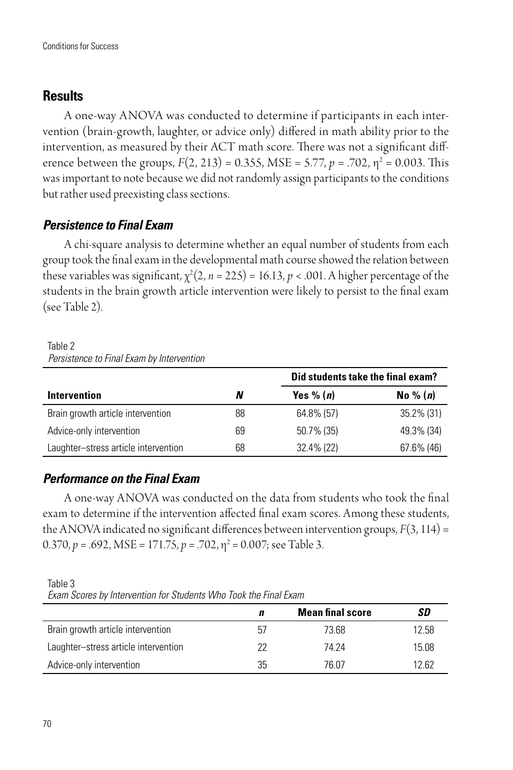## **Results**

A one-way ANOVA was conducted to determine if participants in each intervention (brain-growth, laughter, or advice only) differed in math ability prior to the intervention, as measured by their ACT math score. There was not a significant difference between the groups,  $F(2, 213) = 0.355$ , MSE = 5.77,  $p = .702$ ,  $\eta^2 = 0.003$ . This was important to note because we did not randomly assign participants to the conditions but rather used preexisting class sections.

## *Persistence to Final Exam*

A chi-square analysis to determine whether an equal number of students from each group took the final exam in the developmental math course showed the relation between these variables was significant,  $\chi^2(2, n = 225) = 16.13$ ,  $p < .001$ . A higher percentage of the students in the brain growth article intervention were likely to persist to the final exam (see Table 2).

| Persistence to Final Exam by Intervention |    |                                   |            |
|-------------------------------------------|----|-----------------------------------|------------|
|                                           |    | Did students take the final exam? |            |
| <b>Intervention</b>                       | N  | Yes % $(n)$                       | No % $(n)$ |
| Brain growth article intervention         | 88 | 64.8% (57)                        | 35.2% (31) |
| Advice-only intervention                  | 69 | 50.7% (35)                        | 49.3% (34) |
| Laughter-stress article intervention      | 68 | 32.4% (22)                        | 67.6% (46) |

Table 2

## *Performance on the Final Exam*

A one-way ANOVA was conducted on the data from students who took the final exam to determine if the intervention affected final exam scores. Among these students, the ANOVA indicated no significant differences between intervention groups, *F*(3, 114) = 0.370,  $p = .692$ , MSE = 171.75,  $p = .702$ ,  $\eta^2 = 0.007$ ; see Table 3.

Table 3 *Exam Scores by Intervention for Students Who Took the Final Exam* 

|                                      | п  | <b>Mean final score</b> | SD    |
|--------------------------------------|----|-------------------------|-------|
| Brain growth article intervention    | 57 | 73.68                   | 12.58 |
| Laughter-stress article intervention | 22 | 74 74                   | 15.08 |
| Advice-only intervention             | 35 | 76.07                   | 12 62 |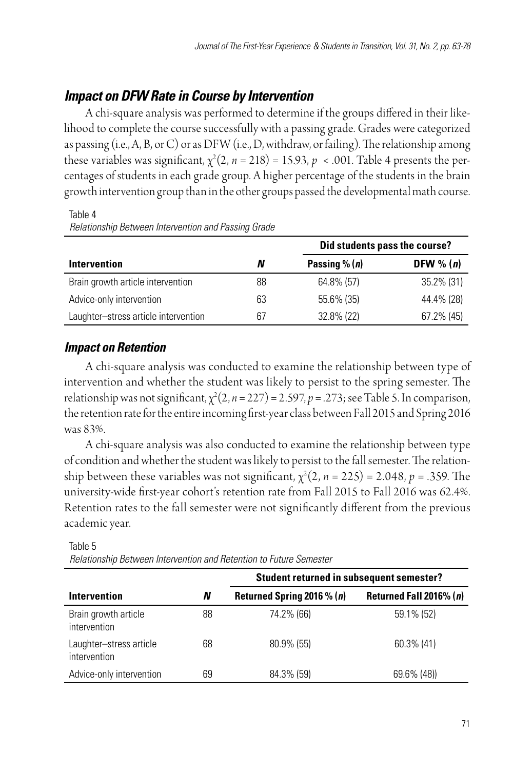## *Impact on DFW Rate in Course by Intervention*

A chi-square analysis was performed to determine if the groups differed in their likelihood to complete the course successfully with a passing grade. Grades were categorized as passing (i.e., A, B, or C) or as DFW (i.e., D, withdraw, or failing). The relationship among these variables was significant,  $\chi^2(2, n = 218) = 15.93, p \times .001$ . Table 4 presents the percentages of students in each grade group. A higher percentage of the students in the brain growth intervention group than in the other groups passed the developmental math course.

Table 4 *Relationship Between Intervention and Passing Grade*

|                                      |    | Did students pass the course? |                |
|--------------------------------------|----|-------------------------------|----------------|
| <b>Intervention</b>                  | N  | Passing $\%$ ( <i>n</i> )     | DFW $\%$ $(n)$ |
| Brain growth article intervention    | 88 | 64.8% (57)                    | 35.2% (31)     |
| Advice-only intervention             | 63 | 55.6% (35)                    | 44.4% (28)     |
| Laughter-stress article intervention | 67 | 32.8% (22)                    | 67.2% (45)     |

#### *Impact on Retention*

A chi-square analysis was conducted to examine the relationship between type of intervention and whether the student was likely to persist to the spring semester. The relationship was not significant,  $\chi^2(2, n = 227) = 2.597$ ,  $p = .273$ ; see Table 5. In comparison, the retention rate for the entire incoming first-year class between Fall 2015 and Spring 2016 was 83%.

A chi-square analysis was also conducted to examine the relationship between type of condition and whether the student was likely to persist to the fall semester. The relationship between these variables was not significant,  $\chi^2(2, n = 225) = 2.048$ ,  $p = .359$ . The university-wide first-year cohort's retention rate from Fall 2015 to Fall 2016 was 62.4%. Retention rates to the fall semester were not significantly different from the previous academic year.

|                                         |    | Student returned in subsequent semester? |                           |  |  |
|-----------------------------------------|----|------------------------------------------|---------------------------|--|--|
| <b>Intervention</b>                     | N  | Returned Spring 2016 % $(n)$             | Returned Fall 2016% $(n)$ |  |  |
| Brain growth article<br>intervention    | 88 | 74.2% (66)                               | 59.1% (52)                |  |  |
| Laughter-stress article<br>intervention | 68 | 80.9% (55)                               | 60.3% (41)                |  |  |
| Advice-only intervention                | 69 | 84.3% (59)                               | 69.6% (48))               |  |  |

Table 5 *Relationship Between Intervention and Retention to Future Semester*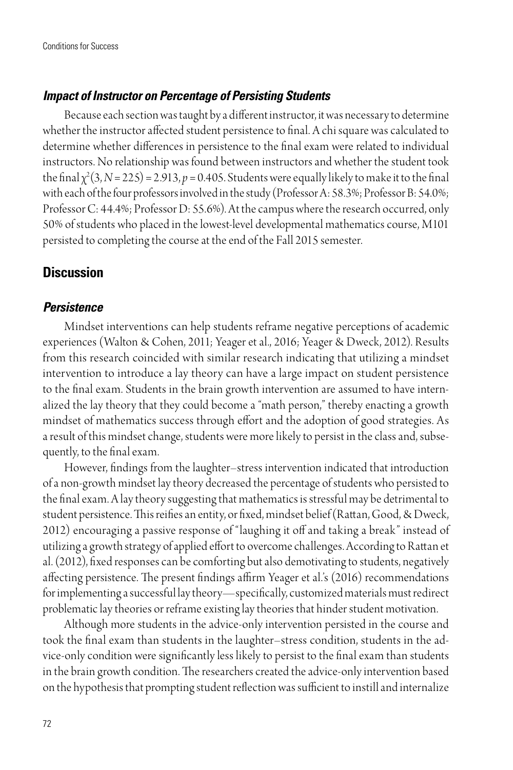#### *Impact of Instructor on Percentage of Persisting Students*

Because each section was taught by a different instructor, it was necessary to determine whether the instructor affected student persistence to final. A chi square was calculated to determine whether differences in persistence to the final exam were related to individual instructors. No relationship was found between instructors and whether the student took the final  $\chi^2(3, N = 225) = 2.913$ ,  $p = 0.405$ . Students were equally likely to make it to the final with each of the four professors involved in the study (Professor A: 58.3%; Professor B: 54.0%; Professor C: 44.4%; Professor D: 55.6%). At the campus where the research occurred, only 50% of students who placed in the lowest-level developmental mathematics course, M101 persisted to completing the course at the end of the Fall 2015 semester.

## **Discussion**

#### *Persistence*

Mindset interventions can help students reframe negative perceptions of academic experiences (Walton & Cohen, 2011; Yeager et al., 2016; Yeager & Dweck, 2012). Results from this research coincided with similar research indicating that utilizing a mindset intervention to introduce a lay theory can have a large impact on student persistence to the final exam. Students in the brain growth intervention are assumed to have internalized the lay theory that they could become a "math person," thereby enacting a growth mindset of mathematics success through effort and the adoption of good strategies. As a result of this mindset change, students were more likely to persist in the class and, subsequently, to the final exam.

However, findings from the laughter–stress intervention indicated that introduction of a non-growth mindset lay theory decreased the percentage of students who persisted to the final exam. A lay theory suggesting that mathematics is stressful may be detrimental to student persistence. This reifies an entity, or fixed, mindset belief (Rattan, Good, & Dweck, 2012) encouraging a passive response of "laughing it off and taking a break" instead of utilizing a growth strategy of applied effort to overcome challenges. According to Rattan et al. (2012), fixed responses can be comforting but also demotivating to students, negatively affecting persistence. The present findings affirm Yeager et al.'s (2016) recommendations for implementing a successful lay theory—specifically, customized materials must redirect problematic lay theories or reframe existing lay theories that hinder student motivation.

Although more students in the advice-only intervention persisted in the course and took the final exam than students in the laughter–stress condition, students in the advice-only condition were significantly less likely to persist to the final exam than students in the brain growth condition. The researchers created the advice-only intervention based on the hypothesis that prompting student reflection was sufficient to instill and internalize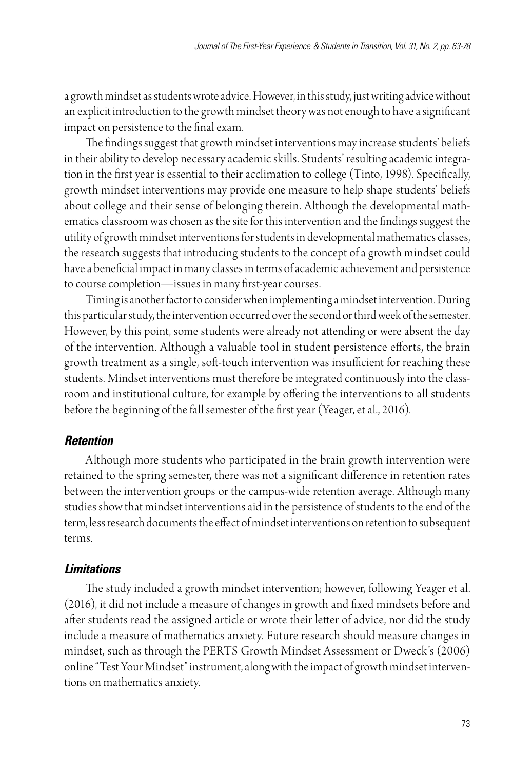a growth mindset as students wrote advice. However, in this study, just writing advice without an explicit introduction to the growth mindset theory was not enough to have a significant impact on persistence to the final exam.

The findings suggest that growth mindset interventions may increase students' beliefs in their ability to develop necessary academic skills. Students' resulting academic integration in the first year is essential to their acclimation to college (Tinto, 1998). Specifically, growth mindset interventions may provide one measure to help shape students' beliefs about college and their sense of belonging therein. Although the developmental mathematics classroom was chosen as the site for this intervention and the findings suggest the utility of growth mindset interventions for students in developmental mathematics classes, the research suggests that introducing students to the concept of a growth mindset could have a beneficial impact in many classes in terms of academic achievement and persistence to course completion—issues in many first-year courses.

Timing is another factor to consider when implementing a mindset intervention. During this particular study, the intervention occurred over the second or third week of the semester. However, by this point, some students were already not attending or were absent the day of the intervention. Although a valuable tool in student persistence efforts, the brain growth treatment as a single, soft-touch intervention was insufficient for reaching these students. Mindset interventions must therefore be integrated continuously into the classroom and institutional culture, for example by offering the interventions to all students before the beginning of the fall semester of the first year (Yeager, et al., 2016).

#### *Retention*

Although more students who participated in the brain growth intervention were retained to the spring semester, there was not a significant difference in retention rates between the intervention groups or the campus-wide retention average. Although many studies show that mindset interventions aid in the persistence of students to the end of the term, less research documents the effect of mindset interventions on retention to subsequent terms.

#### *Limitations*

The study included a growth mindset intervention; however, following Yeager et al. (2016), it did not include a measure of changes in growth and fixed mindsets before and after students read the assigned article or wrote their letter of advice, nor did the study include a measure of mathematics anxiety. Future research should measure changes in mindset, such as through the PERTS Growth Mindset Assessment or Dweck's (2006) online "Test Your Mindset" instrument, along with the impact of growth mindset interventions on mathematics anxiety.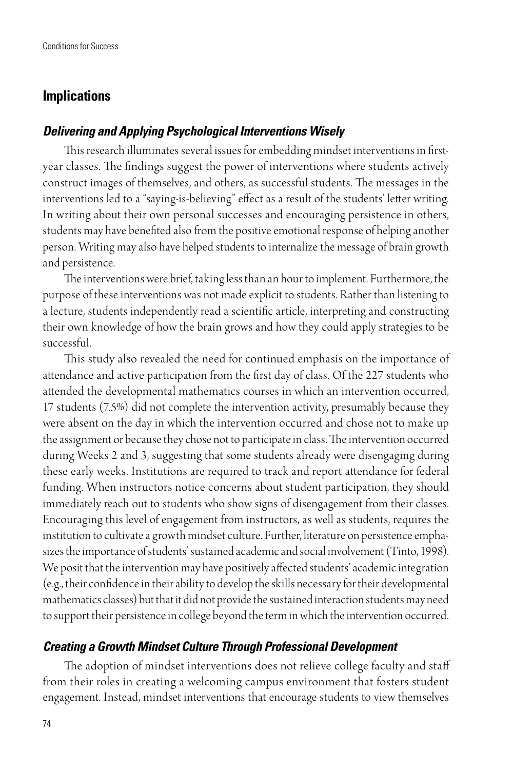## **Implications**

#### *Delivering and Applying Psychological Interventions Wisely*

This research illuminates several issues for embedding mindset interventions in firstyear classes. The findings suggest the power of interventions where students actively construct images of themselves, and others, as successful students. The messages in the interventions led to a "saying-is-believing" effect as a result of the students' letter writing. In writing about their own personal successes and encouraging persistence in others, students may have benefited also from the positive emotional response of helping another person. Writing may also have helped students to internalize the message of brain growth and persistence.

The interventions were brief, taking less than an hour to implement. Furthermore, the purpose of these interventions was not made explicit to students. Rather than listening to a lecture, students independently read a scientific article, interpreting and constructing their own knowledge of how the brain grows and how they could apply strategies to be successful.

This study also revealed the need for continued emphasis on the importance of attendance and active participation from the first day of class. Of the 227 students who attended the developmental mathematics courses in which an intervention occurred, 17 students (7.5%) did not complete the intervention activity, presumably because they were absent on the day in which the intervention occurred and chose not to make up the assignment or because they chose not to participate in class. The intervention occurred during Weeks 2 and 3, suggesting that some students already were disengaging during these early weeks. Institutions are required to track and report attendance for federal funding. When instructors notice concerns about student participation, they should immediately reach out to students who show signs of disengagement from their classes. Encouraging this level of engagement from instructors, as well as students, requires the institution to cultivate a growth mindset culture. Further, literature on persistence emphasizes the importance of students' sustained academic and social involvement (Tinto, 1998). We posit that the intervention may have positively affected students' academic integration (e.g., their confidence in their ability to develop the skills necessary for their developmental mathematics classes) but that it did not provide the sustained interaction students may need to support their persistence in college beyond the term in which the intervention occurred.

#### *Creating a Growth Mindset Culture Through Professional Development*

The adoption of mindset interventions does not relieve college faculty and staff from their roles in creating a welcoming campus environment that fosters student engagement. Instead, mindset interventions that encourage students to view themselves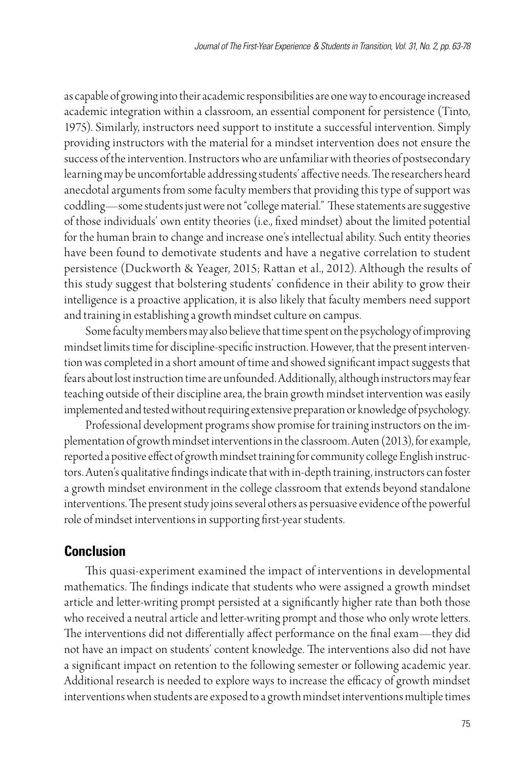as capable of growing into their academic responsibilities are one way to encourage increased academic integration within a classroom, an essential component for persistence (Tinto, 1975). Similarly, instructors need support to institute a successful intervention. Simply providing instructors with the material for a mindset intervention does not ensure the success of the intervention. Instructors who are unfamiliar with theories of postsecondary learning may be uncomfortable addressing students' affective needs. The researchers heard anecdotal arguments from some faculty members that providing this type of support was coddling—some students just were not "college material." These statements are suggestive of those individuals' own entity theories (i.e., fixed mindset) about the limited potential for the human brain to change and increase one's intellectual ability. Such entity theories have been found to demotivate students and have a negative correlation to student persistence (Duckworth & Yeager, 2015; Rattan et al., 2012). Although the results of this study suggest that bolstering students' confidence in their ability to grow their intelligence is a proactive application, it is also likely that faculty members need support and training in establishing a growth mindset culture on campus.

Some faculty members may also believe that time spent on the psychology of improving mindset limits time for discipline-specific instruction. However, that the present intervention was completed in a short amount of time and showed significant impact suggests that fears about lost instruction time are unfounded. Additionally, although instructors may fear teaching outside of their discipline area, the brain growth mindset intervention was easily implemented and tested without requiring extensive preparation or knowledge of psychology.

Professional development programs show promise for training instructors on the implementation of growth mindset interventions in the classroom. Auten (2013), for example, reported a positive effect of growth mindset training for community college English instructors. Auten's qualitative findings indicate that with in-depth training, instructors can foster a growth mindset environment in the college classroom that extends beyond standalone interventions. The present study joins several others as persuasive evidence of the powerful role of mindset interventions in supporting first-year students.

## **Conclusion**

This quasi-experiment examined the impact of interventions in developmental mathematics. The findings indicate that students who were assigned a growth mindset article and letter-writing prompt persisted at a significantly higher rate than both those who received a neutral article and letter-writing prompt and those who only wrote letters. The interventions did not differentially affect performance on the final exam—they did not have an impact on students' content knowledge. The interventions also did not have a significant impact on retention to the following semester or following academic year. Additional research is needed to explore ways to increase the efficacy of growth mindset interventions when students are exposed to a growth mindset interventions multiple times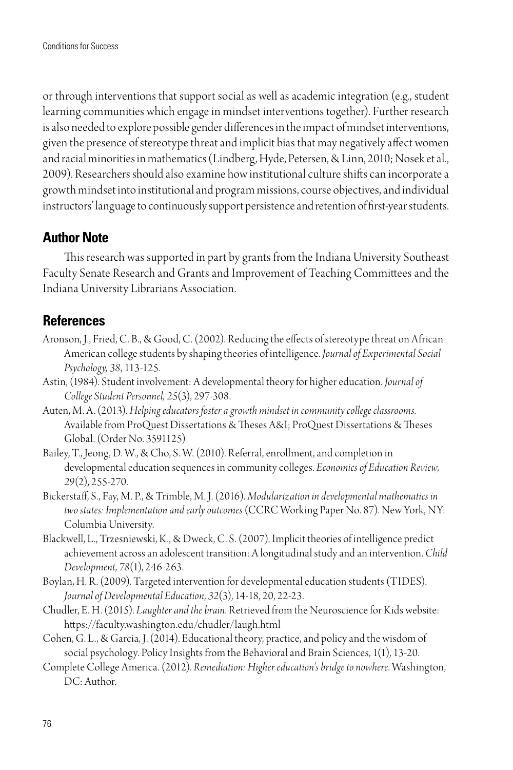or through interventions that support social as well as academic integration (e.g., student learning communities which engage in mindset interventions together). Further research is also needed to explore possible gender differences in the impact of mindset interventions, given the presence of stereotype threat and implicit bias that may negatively affect women and racial minorities in mathematics (Lindberg, Hyde, Petersen, & Linn, 2010; Nosek et al., 2009). Researchers should also examine how institutional culture shifts can incorporate a growth mindset into institutional and program missions, course objectives, and individual instructors' language to continuously support persistence and retention of first-year students.

## **Author Note**

This research was supported in part by grants from the Indiana University Southeast Faculty Senate Research and Grants and Improvement of Teaching Committees and the Indiana University Librarians Association.

## **References**

- Aronson, J., Fried, C. B., & Good, C. (2002). Reducing the effects of stereotype threat on African American college students by shaping theories of intelligence. *Journal of Experimental Social Psychology, 38*, 113-125.
- Astin, (1984). Student involvement: A developmental theory for higher education. *Journal of College Student Personnel, 25*(3), 297-308.
- Auten, M. A. (2013). *Helping educators foster a growth mindset in community college classrooms.* Available from ProQuest Dissertations & Theses A&I; ProQuest Dissertations & Theses Global. (Order No. 3591125)
- Bailey, T., Jeong, D. W., & Cho, S. W. (2010). Referral, enrollment, and completion in developmental education sequences in community colleges. *Economics of Education Review, 29*(2), 255-270.
- Bickerstaff, S., Fay, M. P., & Trimble, M. J. (2016). *Modularization in developmental mathematics in two states: Implementation and early outcomes* (CCRC Working Paper No. 87). New York, NY: Columbia University.
- Blackwell, L., Trzesniewski, K., & Dweck, C. S. (2007). Implicit theories of intelligence predict achievement across an adolescent transition: A longitudinal study and an intervention. *Child Development, 78*(1), 246-263.
- Boylan, H. R. (2009). Targeted intervention for developmental education students (TIDES). *Journal of Developmental Education, 32*(3), 14-18, 20, 22-23.
- Chudler, E. H. (2015). *Laughter and the brain*. Retrieved from the Neuroscience for Kids website: https://faculty.washington.edu/chudler/laugh.html
- Cohen, G. L., & Garcia, J. (2014). Educational theory, practice, and policy and the wisdom of social psychology. Policy Insights from the Behavioral and Brain Sciences, 1(1), 13-20.
- Complete College America. (2012). *Remediation: Higher education's bridge to nowhere*. Washington, DC: Author.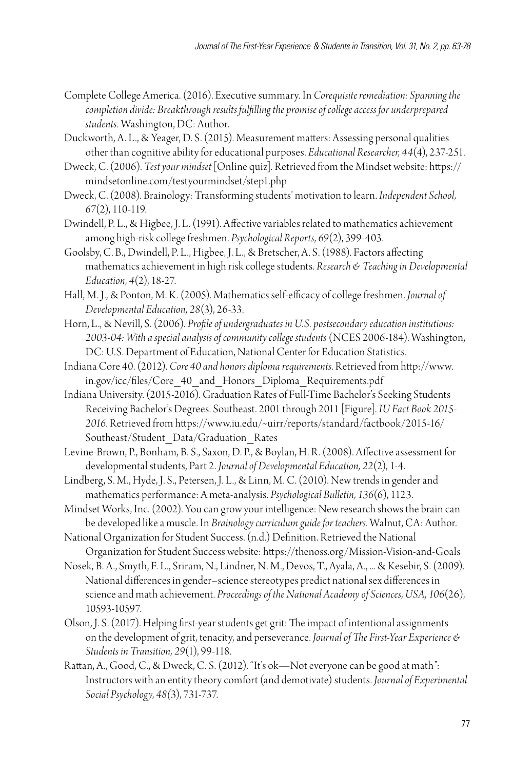- Complete College America. (2016). Executive summary. In *Corequisite remediation: Spanning the completion divide: Breakthrough results fulfilling the promise of college access for underprepared students.* Washington, DC: Author.
- Duckworth, A. L., & Yeager, D. S. (2015). Measurement matters: Assessing personal qualities other than cognitive ability for educational purposes. *Educational Researcher, 44*(4), 237-251.
- Dweck, C. (2006). *Test your mindset* [Online quiz]. Retrieved from the Mindset website: https:// mindsetonline.com/testyourmindset/step1.php
- Dweck, C. (2008). Brainology: Transforming students' motivation to learn. *Independent School, 67*(2), 110-119.
- Dwindell, P. L., & Higbee, J. L. (1991). Affective variables related to mathematics achievement among high-risk college freshmen. *Psychological Reports, 69*(2), 399-403.
- Goolsby, C. B., Dwindell, P. L., Higbee, J. L., & Bretscher, A. S. (1988). Factors affecting mathematics achievement in high risk college students. *Research & Teaching in Developmental Education, 4*(2), 18-27.
- Hall, M. J., & Ponton, M. K. (2005). Mathematics self-efficacy of college freshmen. *Journal of Developmental Education, 28*(3), 26-33.
- Horn, L., & Nevill, S. (2006). *Profile of undergraduates in U.S. postsecondary education institutions: 2003-04: With a special analysis of community college students* (NCES 2006-184). Washington, DC: U.S. Department of Education, National Center for Education Statistics.
- Indiana Core 40. (2012). *Core 40 and honors diploma requirements*. Retrieved from http://www. in.gov/icc/files/Core\_40\_and\_Honors\_Diploma\_Requirements.pdf
- Indiana University. (2015-2016). Graduation Rates of Full-Time Bachelor's Seeking Students Receiving Bachelor's Degrees. Southeast. 2001 through 2011 [Figure]. *IU Fact Book 2015- 2016*. Retrieved from https://www.iu.edu/~uirr/reports/standard/factbook/2015-16/ Southeast/Student\_Data/Graduation\_Rates
- Levine-Brown, P., Bonham, B. S., Saxon, D. P., & Boylan, H. R. (2008). Affective assessment for developmental students, Part 2. *Journal of Developmental Education, 22*(2), 1-4.
- Lindberg, S. M., Hyde, J. S., Petersen, J. L., & Linn, M. C. (2010). New trends in gender and mathematics performance: A meta-analysis. *Psychological Bulletin, 136*(6), 1123.
- Mindset Works, Inc. (2002). You can grow your intelligence: New research shows the brain can be developed like a muscle. In *Brainology curriculum guide for teachers*. Walnut, CA: Author.
- National Organization for Student Success. (n.d.) Definition. Retrieved the National Organization for Student Success website: https://thenoss.org/Mission-Vision-and-Goals
- Nosek, B. A., Smyth, F. L., Sriram, N., Lindner, N. M., Devos, T., Ayala, A., ... & Kesebir, S. (2009). National differences in gender–science stereotypes predict national sex differences in science and math achievement. *Proceedings of the National Academy of Sciences, USA, 106*(26), 10593-10597.
- Olson, J. S. (2017). Helping first-year students get grit: The impact of intentional assignments on the development of grit, tenacity, and perseverance. *Journal of The First-Year Experience & Students in Transition, 29*(1), 99-118.
- Rattan, A., Good, C., & Dweck, C. S. (2012). "It's ok—Not everyone can be good at math": Instructors with an entity theory comfort (and demotivate) students. *Journal of Experimental Social Psychology, 48(*3), 731-737.